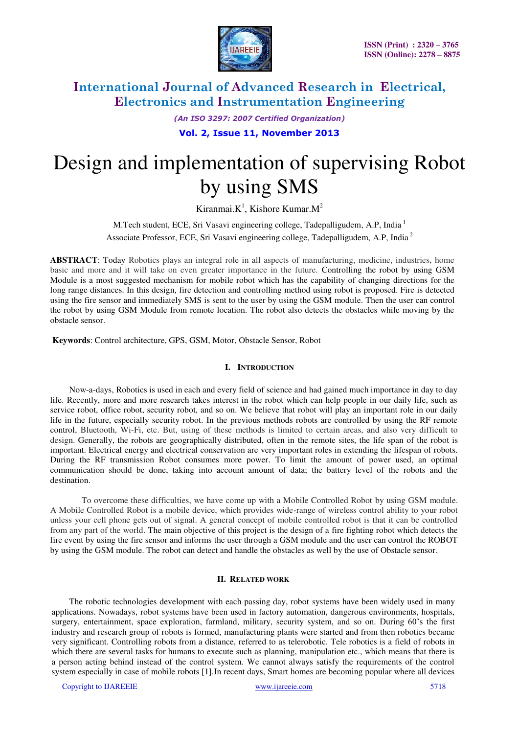

*(An ISO 3297: 2007 Certified Organization)* 

**Vol. 2, Issue 11, November 2013**

# Design and implementation of supervising Robot by using SMS

Kiranmai. $K^1$ , Kishore Kumar. $M^2$ 

M.Tech student, ECE, Sri Vasavi engineering college, Tadepalligudem, A.P, India<sup>1</sup> Associate Professor, ECE, Sri Vasavi engineering college, Tadepalligudem, A.P, India<sup>2</sup>

**ABSTRACT**: Today Robotics plays an integral role in all aspects of manufacturing, medicine, industries, home basic and more and it will take on even greater importance in the future. Controlling the robot by using GSM Module is a most suggested mechanism for mobile robot which has the capability of changing directions for the long range distances. In this design, fire detection and controlling method using robot is proposed. Fire is detected using the fire sensor and immediately SMS is sent to the user by using the GSM module. Then the user can control the robot by using GSM Module from remote location. The robot also detects the obstacles while moving by the obstacle sensor.

 **Keywords**: Control architecture, GPS, GSM, Motor, Obstacle Sensor, Robot

### **I. INTRODUCTION**

Now-a-days, Robotics is used in each and every field of science and had gained much importance in day to day life. Recently, more and more research takes interest in the robot which can help people in our daily life, such as service robot, office robot, security robot, and so on. We believe that robot will play an important role in our daily life in the future, especially security robot. In the previous methods robots are controlled by using the RF remote control, Bluetooth, Wi-Fi, etc. But, using of these methods is limited to certain areas, and also very difficult to design. Generally, the robots are geographically distributed, often in the remote sites, the life span of the robot is important. Electrical energy and electrical conservation are very important roles in extending the lifespan of robots. During the RF transmission Robot consumes more power. To limit the amount of power used, an optimal communication should be done, taking into account amount of data; the battery level of the robots and the destination.

 To overcome these difficulties, we have come up with a Mobile Controlled Robot by using GSM module. A Mobile Controlled Robot is a mobile device, which provides wide-range of wireless control ability to your robot unless your cell phone gets out of signal. A general concept of mobile controlled robot is that it can be controlled from any part of the world. The main objective of this project is the design of a fire fighting robot which detects the fire event by using the fire sensor and informs the user through a GSM module and the user can control the ROBOT by using the GSM module. The robot can detect and handle the obstacles as well by the use of Obstacle sensor.

### **II. RELATED WORK**

The robotic technologies development with each passing day, robot systems have been widely used in many applications. Nowadays, robot systems have been used in factory automation, dangerous environments, hospitals, surgery, entertainment, space exploration, farmland, military, security system, and so on. During 60's the first industry and research group of robots is formed, manufacturing plants were started and from then robotics became very significant. Controlling robots from a distance, referred to as telerobotic. Tele robotics is a field of robots in which there are several tasks for humans to execute such as planning, manipulation etc., which means that there is a person acting behind instead of the control system. We cannot always satisfy the requirements of the control system especially in case of mobile robots [1].In recent days, Smart homes are becoming popular where all devices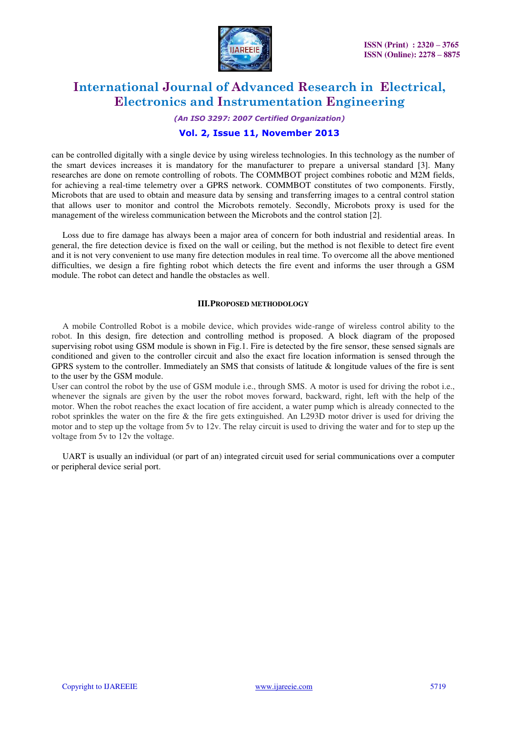

*(An ISO 3297: 2007 Certified Organization)* 

### **Vol. 2, Issue 11, November 2013**

can be controlled digitally with a single device by using wireless technologies. In this technology as the number of the smart devices increases it is mandatory for the manufacturer to prepare a universal standard [3]. Many researches are done on remote controlling of robots. The COMMBOT project combines robotic and M2M fields, for achieving a real-time telemetry over a GPRS network. COMMBOT constitutes of two components. Firstly, Microbots that are used to obtain and measure data by sensing and transferring images to a central control station that allows user to monitor and control the Microbots remotely. Secondly, Microbots proxy is used for the management of the wireless communication between the Microbots and the control station [2].

 Loss due to fire damage has always been a major area of concern for both industrial and residential areas. In general, the fire detection device is fixed on the wall or ceiling, but the method is not flexible to detect fire event and it is not very convenient to use many fire detection modules in real time. To overcome all the above mentioned difficulties, we design a fire fighting robot which detects the fire event and informs the user through a GSM module. The robot can detect and handle the obstacles as well.

#### **III.PROPOSED METHODOLOGY**

 A mobile Controlled Robot is a mobile device, which provides wide-range of wireless control ability to the robot. In this design, fire detection and controlling method is proposed. A block diagram of the proposed supervising robot using GSM module is shown in Fig.1. Fire is detected by the fire sensor, these sensed signals are conditioned and given to the controller circuit and also the exact fire location information is sensed through the GPRS system to the controller. Immediately an SMS that consists of latitude & longitude values of the fire is sent to the user by the GSM module.

User can control the robot by the use of GSM module i.e., through SMS. A motor is used for driving the robot i.e., whenever the signals are given by the user the robot moves forward, backward, right, left with the help of the motor. When the robot reaches the exact location of fire accident, a water pump which is already connected to the robot sprinkles the water on the fire & the fire gets extinguished. An L293D motor driver is used for driving the motor and to step up the voltage from 5v to 12v. The relay circuit is used to driving the water and for to step up the voltage from 5v to 12v the voltage.

 UART is usually an individual (or part of an) integrated circuit used for serial communications over a computer or peripheral device serial port.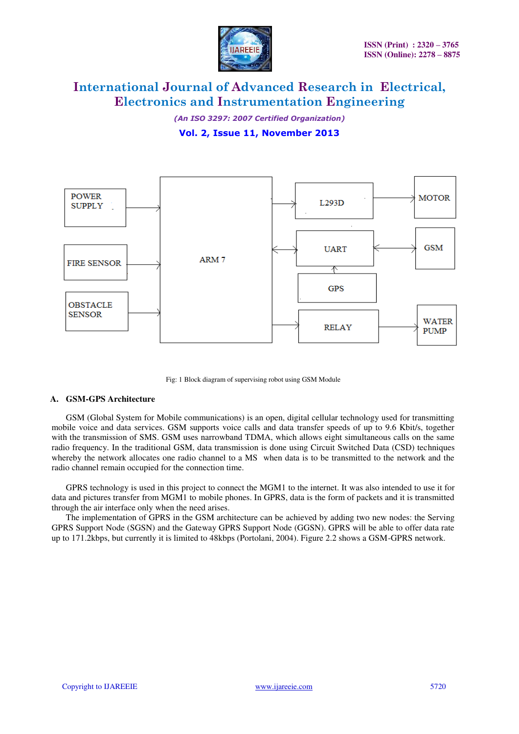

*(An ISO 3297: 2007 Certified Organization)* 

**Vol. 2, Issue 11, November 2013**



Fig: 1 Block diagram of supervising robot using GSM Module

### **A. GSM-GPS Architecture**

GSM (Global System for Mobile communications) is an open, digital cellular technology used for transmitting mobile voice and data services. GSM supports voice calls and data transfer speeds of up to 9.6 Kbit/s, together with the transmission of SMS. GSM uses narrowband TDMA, which allows eight simultaneous calls on the same radio frequency. In the traditional GSM, data transmission is done using Circuit Switched Data (CSD) techniques whereby the network allocates one radio channel to a MS when data is to be transmitted to the network and the radio channel remain occupied for the connection time.

GPRS technology is used in this project to connect the MGM1 to the internet. It was also intended to use it for data and pictures transfer from MGM1 to mobile phones. In GPRS, data is the form of packets and it is transmitted through the air interface only when the need arises.

The implementation of GPRS in the GSM architecture can be achieved by adding two new nodes: the Serving GPRS Support Node (SGSN) and the Gateway GPRS Support Node (GGSN). GPRS will be able to offer data rate up to 171.2kbps, but currently it is limited to 48kbps (Portolani, 2004). Figure 2.2 shows a GSM-GPRS network.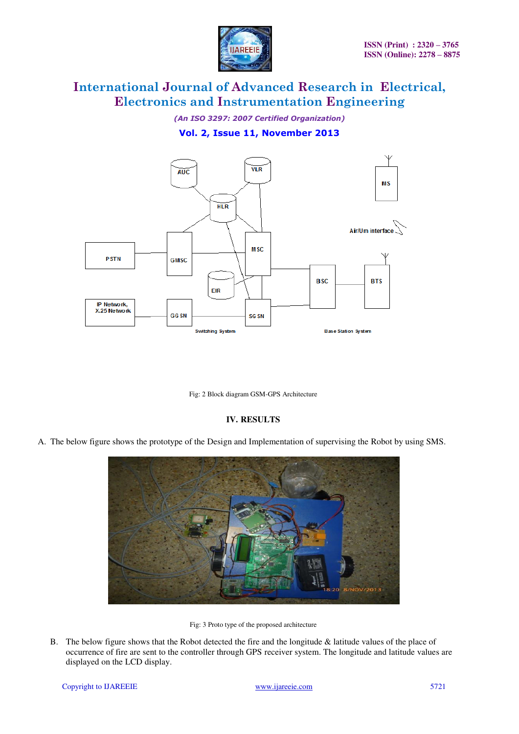

*(An ISO 3297: 2007 Certified Organization)* 

## **Vol. 2, Issue 11, November 2013**



Fig: 2 Block diagram GSM-GPS Architecture

### **IV. RESULTS**

A. The below figure shows the prototype of the Design and Implementation of supervising the Robot by using SMS.



Fig: 3 Proto type of the proposed architecture

B. The below figure shows that the Robot detected the fire and the longitude & latitude values of the place of occurrence of fire are sent to the controller through GPS receiver system. The longitude and latitude values are displayed on the LCD display.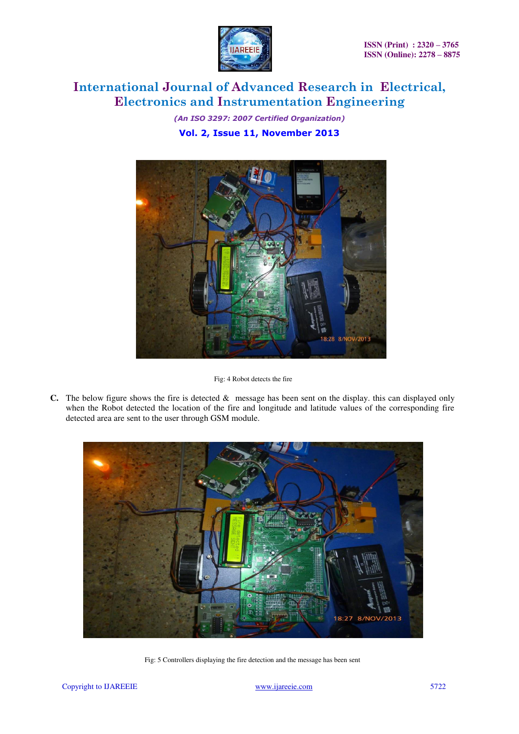

*(An ISO 3297: 2007 Certified Organization)*  **Vol. 2, Issue 11, November 2013**



Fig: 4 Robot detects the fire

**C.** The below figure shows the fire is detected & message has been sent on the display. this can displayed only when the Robot detected the location of the fire and longitude and latitude values of the corresponding fire detected area are sent to the user through GSM module.



Fig: 5 Controllers displaying the fire detection and the message has been sent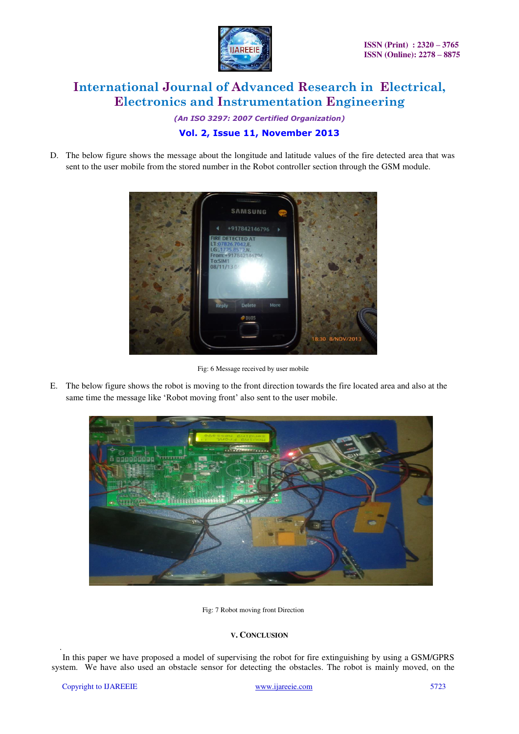

*(An ISO 3297: 2007 Certified Organization)* 

# **Vol. 2, Issue 11, November 2013**

D. The below figure shows the message about the longitude and latitude values of the fire detected area that was sent to the user mobile from the stored number in the Robot controller section through the GSM module.



Fig: 6 Message received by user mobile

E. The below figure shows the robot is moving to the front direction towards the fire located area and also at the same time the message like 'Robot moving front' also sent to the user mobile.



Fig: 7 Robot moving front Direction

### **V. CONCLUSION**

. In this paper we have proposed a model of supervising the robot for fire extinguishing by using a GSM/GPRS system. We have also used an obstacle sensor for detecting the obstacles. The robot is mainly moved, on the